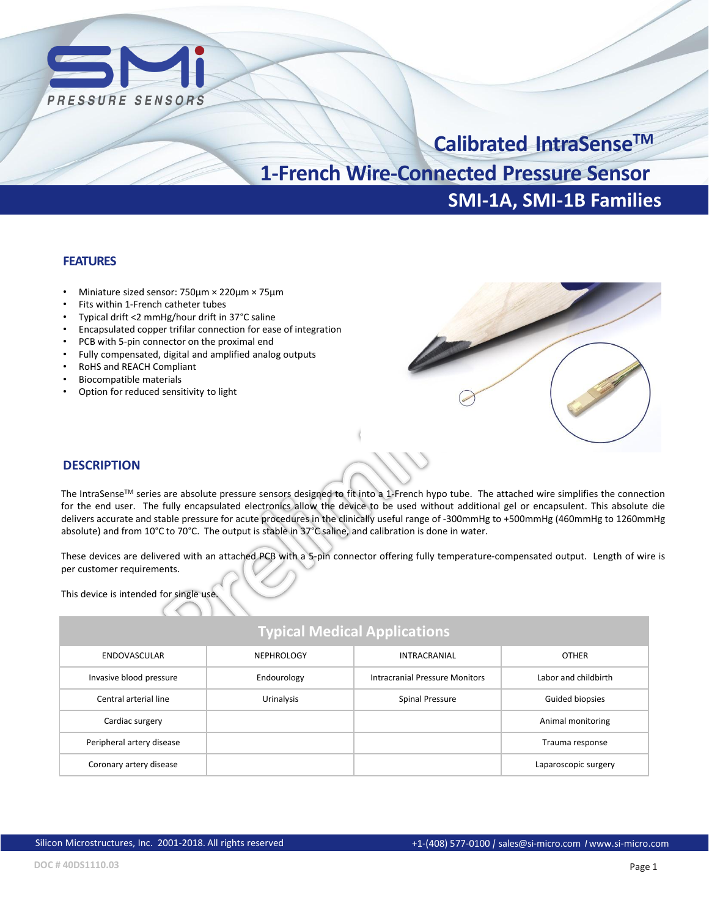

# **SMI-1A, SMI-1B Families Calibrated IntraSenseTM 1-French Wire-Connected Pressure Sensor**

#### **FEATURES**

- Miniature sized sensor: 750µm × 220µm × 75µm
- Fits within 1-French catheter tubes
- Typical drift <2 mmHg/hour drift in 37°C saline
- Encapsulated copper trifilar connection for ease of integration
- PCB with 5-pin connector on the proximal end
- Fully compensated, digital and amplified analog outputs
- RoHS and REACH Compliant
- Biocompatible materials
- Option for reduced sensitivity to light



#### **DESCRIPTION**

The IntraSense™ series are absolute pressure sensors designed to fit into a 1-French hypo tube. The attached wire simplifies the connection for the end user. The fully encapsulated electronics allow the device to be used without additional gel or encapsulent. This absolute die delivers accurate and stable pressure for acute procedures in the clinically useful range of -300mmHg to +500mmHg (460mmHg to 1260mmHg absolute) and from 10°C to 70°C. The output is stable in 37°C saline, and calibration is done in water.

These devices are delivered with an attached PCB with a 5-pin connector offering fully temperature-compensated output. Length of wire is per customer requirements.

This device is intended for single use.

### **Typical Medical Applications**

| ENDOVASCULAR              | <b>NEPHROLOGY</b> | <b>INTRACRANIAL</b>            | <b>OTHER</b>         |
|---------------------------|-------------------|--------------------------------|----------------------|
| Invasive blood pressure   | Endourology       | Intracranial Pressure Monitors | Labor and childbirth |
| Central arterial line     | Urinalysis        | Spinal Pressure                | Guided biopsies      |
| Cardiac surgery           |                   |                                | Animal monitoring    |
| Peripheral artery disease |                   |                                | Trauma response      |
| Coronary artery disease   |                   |                                | Laparoscopic surgery |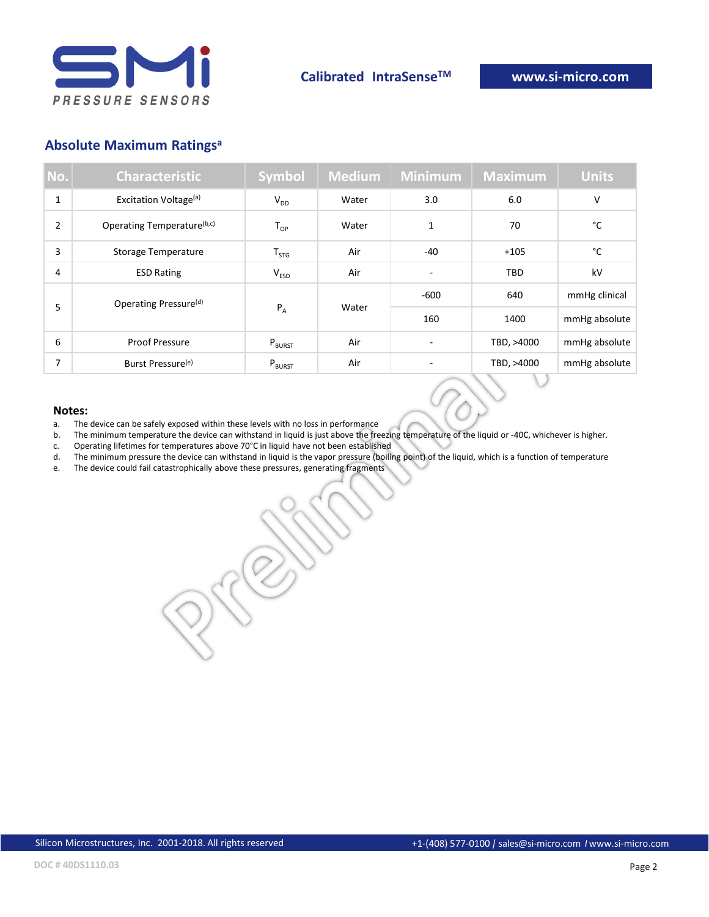

### **Absolute Maximum Ratings<sup>a</sup>**

| No.            | <b>Characteristic</b>             | <b>Symbol</b>      | <b>Medium</b> | <b>Minimum</b> | <b>Maximum</b> | <b>Units</b>  |
|----------------|-----------------------------------|--------------------|---------------|----------------|----------------|---------------|
| $\mathbf{1}$   | Excitation Voltage <sup>(a)</sup> | $V_{DD}$           | Water         | 3.0            | 6.0            | V             |
| $\overline{2}$ | Operating Temperature(b,c)        | $T_{OP}$           | Water         | 1              | 70             | °C            |
| 3              | Storage Temperature               | $T_{STG}$          | Air           | $-40$          | $+105$         | °C            |
| $\overline{4}$ | <b>ESD Rating</b>                 | $V_{ESD}$          | Air           |                | TBD            | kV            |
| 5              | Operating Pressure <sup>(d)</sup> | $P_A$              | Water         | $-600$         | 640            | mmHg clinical |
|                |                                   |                    |               | 160            | 1400           | mmHg absolute |
| 6              | <b>Proof Pressure</b>             | P <sub>BURST</sub> | Air           |                | TBD, >4000     | mmHg absolute |
| 7              | Burst Pressure <sup>(e)</sup>     | $P_{BURST}$        | Air           |                | TBD, >4000     | mmHg absolute |

#### **Notes:**

- a. The device can be safely exposed within these levels with no loss in performance<br>b. The minimum temperature the device can withstand in liquid is just above the fre
- The minimum temperature the device can withstand in liquid is just above the freezing temperature of the liquid or -40C, whichever is higher.
- c. Operating lifetimes for temperatures above 70°C in liquid have not been established
- d. The minimum pressure the device can withstand in liquid is the vapor pressure (boiling point) of the liquid, which is a function of temperature
- e. The device could fail catastrophically above these pressures, generating fragments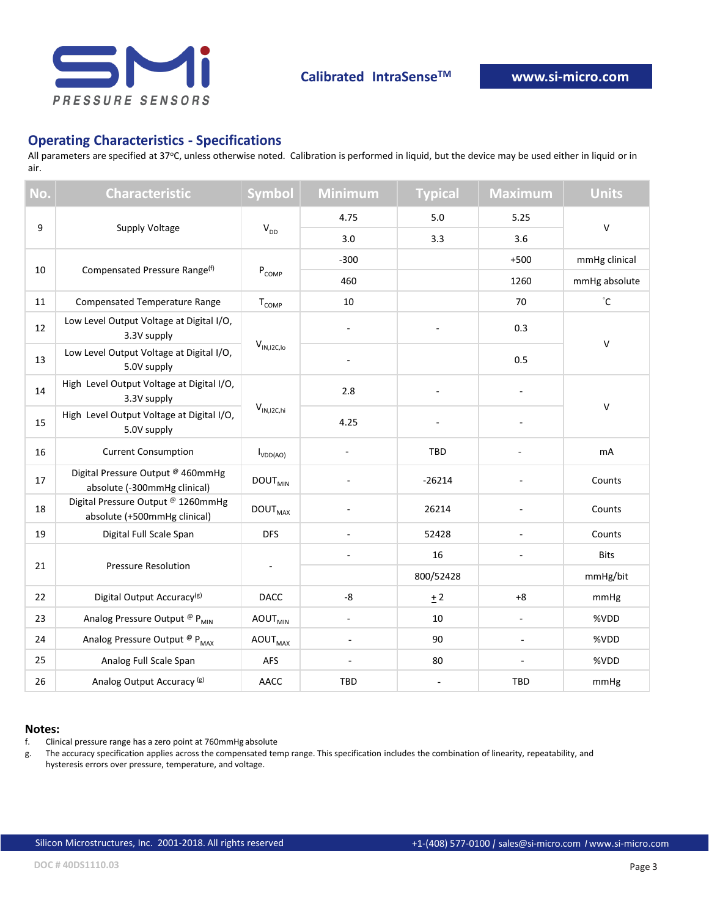

#### **Operating Characteristics - Specifications**

All parameters are specified at 37°C, unless otherwise noted. Calibration is performed in liquid, but the device may be used either in liquid or in air.

| No. | <b>Characteristic</b>                                              | <b>Symbol</b>                                       | <b>Minimum</b>           | <b>Typical</b>           | <b>Maximum</b>           | <b>Units</b>      |
|-----|--------------------------------------------------------------------|-----------------------------------------------------|--------------------------|--------------------------|--------------------------|-------------------|
| 9   |                                                                    | 4.75                                                | 5.0                      | 5.25                     | $\mathsf{V}$             |                   |
|     | Supply Voltage                                                     | $V_{DD}$                                            | 3.0                      | 3.3                      | 3.6                      |                   |
| 10  |                                                                    | ${\sf P}_{\sf COMP}$                                | $-300$                   |                          | $+500$                   | mmHg clinical     |
|     | Compensated Pressure Range <sup>(f)</sup>                          |                                                     | 460                      |                          | 1260                     | mmHg absolute     |
| 11  | Compensated Temperature Range                                      | T <sub>COMP</sub>                                   | $10\,$                   |                          | 70                       | $^\circ \text{C}$ |
| 12  | Low Level Output Voltage at Digital I/O,<br>3.3V supply            |                                                     |                          |                          | 0.3                      | $\mathsf{V}$      |
| 13  | Low Level Output Voltage at Digital I/O,<br>5.0V supply            | $\mathsf{V}_{\mathsf{IN},\mathsf{IZC},\mathsf{Io}}$ |                          |                          | 0.5                      |                   |
| 14  | High Level Output Voltage at Digital I/O,<br>3.3V supply           | $V_{IN,I2C,hi}$                                     | 2.8                      |                          | ÷,                       |                   |
| 15  | High Level Output Voltage at Digital I/O,<br>5.0V supply           |                                                     | 4.25                     |                          |                          | $\mathsf V$       |
| 16  | <b>Current Consumption</b>                                         | $I_{VDD(AO)}$                                       |                          | TBD                      |                          | mA                |
| 17  | Digital Pressure Output @ 460mmHg<br>absolute (-300mmHg clinical)  | <b>DOUT<sub>MIN</sub></b>                           |                          | $-26214$                 |                          | Counts            |
| 18  | Digital Pressure Output @ 1260mmHg<br>absolute (+500mmHg clinical) | <b>DOUT</b> <sub>MAX</sub>                          |                          | 26214                    |                          | Counts            |
| 19  | Digital Full Scale Span                                            | <b>DFS</b>                                          | L.                       | 52428                    | $\overline{\phantom{a}}$ | Counts            |
| 21  | <b>Pressure Resolution</b>                                         |                                                     | ÷,                       | 16                       | L.                       | <b>Bits</b>       |
|     |                                                                    |                                                     |                          | 800/52428                |                          | mmHg/bit          |
| 22  | Digital Output Accuracy <sup>(g)</sup>                             | <b>DACC</b>                                         | -8                       | ± 2                      | $+8$                     | mmHg              |
| 23  | Analog Pressure Output <sup>@</sup> P <sub>MIN</sub>               | <b>AOUT</b> <sub>MIN</sub>                          | ÷,                       | 10                       | $\sim$                   | %VDD              |
| 24  | Analog Pressure Output ® P <sub>MAX</sub>                          | <b>AOUT</b> <sub>MAX</sub>                          |                          | 90                       |                          | %VDD              |
| 25  | Analog Full Scale Span                                             | AFS                                                 | $\overline{\phantom{a}}$ | 80                       |                          | %VDD              |
| 26  | Analog Output Accuracy <sup>(g)</sup>                              | AACC                                                | TBD                      | $\overline{\phantom{a}}$ | TBD                      | mmHg              |

#### **Notes:**

f. Clinical pressure range has a zero point at 760mmHg absolute

g. The accuracy specification applies across the compensated temp range. This specification includes the combination of linearity, repeatability, and hysteresis errors over pressure, temperature, and voltage.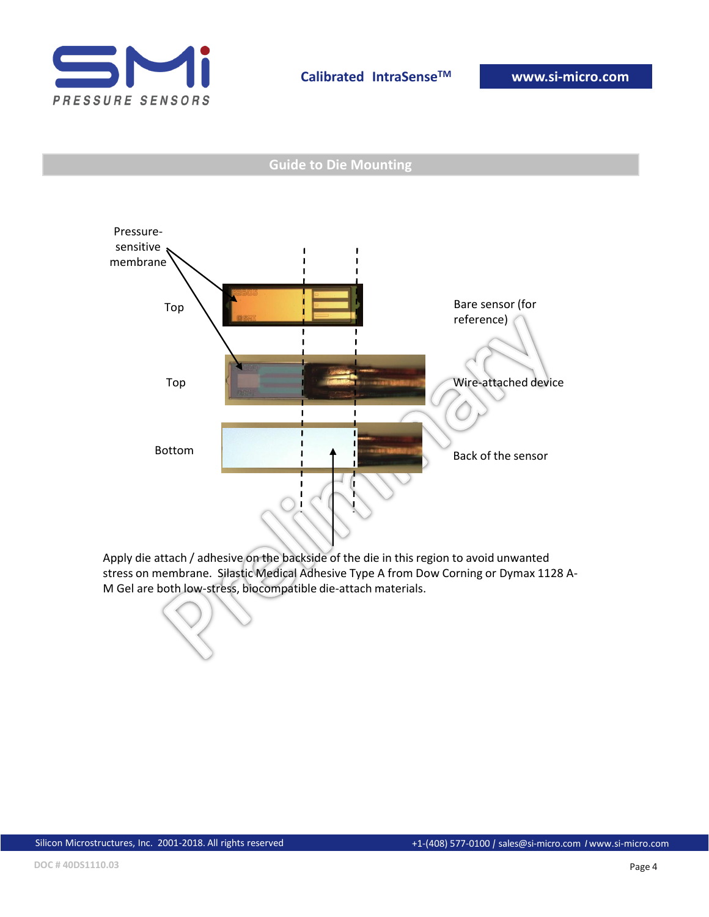

#### **Guide to Die Mounting**



Apply die attach / adhesive on the backside of the die in this region to avoid unwanted stress on membrane. Silastic Medical Adhesive Type A from Dow Corning or Dymax 1128 A-M Gel are both low-stress, biocompatible die-attach materials.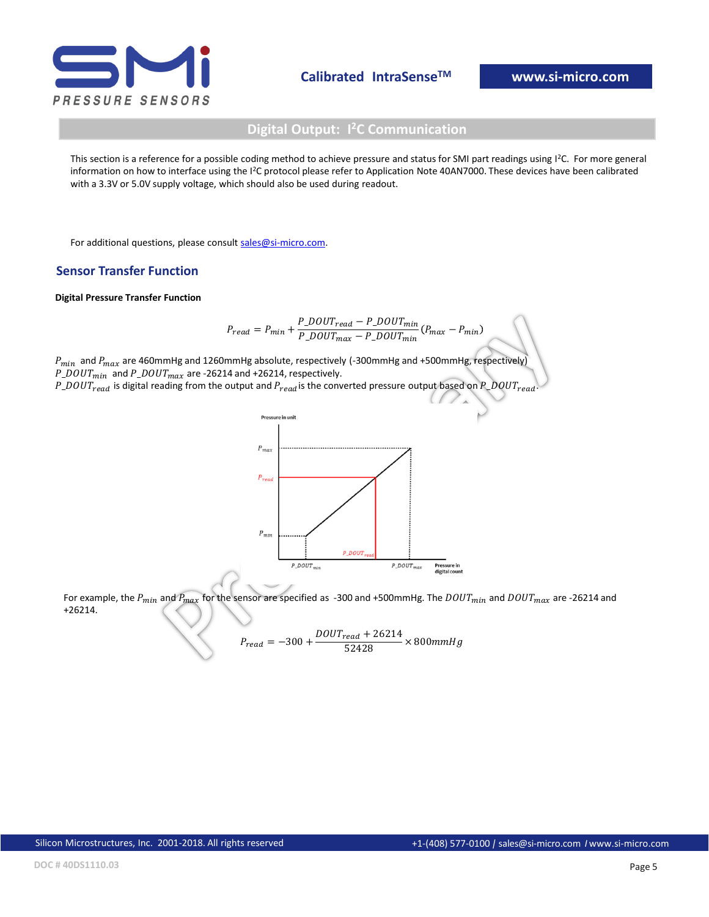

### **Digital Output: I <sup>2</sup>C Communication**

This section is a reference for a possible coding method to achieve pressure and status for SMI part readings using I<sup>2</sup>C. For more general information on how to interface using the I<sup>2</sup>C protocol please refer to Application Note 40AN7000. These devices have been calibrated with a 3.3V or 5.0V supply voltage, which should also be used during readout.

For additional questions, please consult [sales@si-micro.com](mailto:sales@si-micro.com).

#### **Sensor Transfer Function**

#### **Digital Pressure Transfer Function**

$$
P_{read} = P_{min} + \frac{P\_DOUT_{read} - P\_DOUT_{min}}{P\_DOUT_{max} - P\_DOUT_{min}}(P_{max} - P_{min})
$$

 $P_{min}$  and  $P_{max}$  are 460mmHg and 1260mmHg absolute, respectively (-300mmHg and +500mmHg, respectively)  $P\_DOUT_{min}$  and  $P\_DOUT_{max}$  are -26214 and +26214, respectively.  $P\_DOUT_{read}$  is digital reading from the output and  $P_{read}$  is the converted pressure output based on  $P\_DOUT_{read}$ 



For example, the  $P_{min}$  and  $P_{max}$  for the sensor are specified as -300 and +500mmHg. The  $DOUT_{min}$  and  $DOUT_{max}$  are -26214 and +26214.

$$
P_{read} = -300 + \frac{DOUT_{read} + 26214}{52428} \times 800 mmHg
$$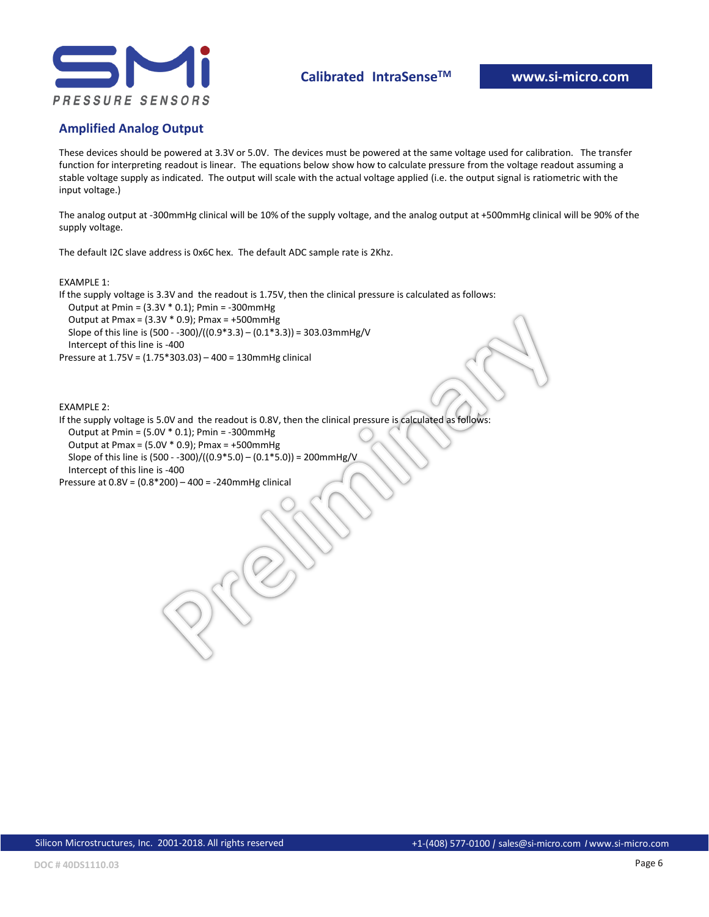

#### **Amplified Analog Output**

These devices should be powered at 3.3V or 5.0V. The devices must be powered at the same voltage used for calibration. The transfer function for interpreting readout is linear. The equations below show how to calculate pressure from the voltage readout assuming a stable voltage supply as indicated. The output will scale with the actual voltage applied (i.e. the output signal is ratiometric with the input voltage.)

The analog output at -300mmHg clinical will be 10% of the supply voltage, and the analog output at +500mmHg clinical will be 90% of the supply voltage.

The default I2C slave address is 0x6C hex. The default ADC sample rate is 2Khz.

#### EXAMPLE 1:

If the supply voltage is 3.3V and the readout is 1.75V, then the clinical pressure is calculated as follows:

 Output at Pmin = (3.3V \* 0.1); Pmin = -300mmHg Output at Pmax = (3.3V \* 0.9); Pmax = +500mmHg

Slope of this line is  $(500 - 300) / ((0.9 * 3.3) - (0.1 * 3.3)) = 303.03$ mmHg/V

Intercept of this line is -400

Pressure at 1.75V = (1.75\*303.03) – 400 = 130mmHg clinical

EXAMPLE 2:

If the supply voltage is 5.0V and the readout is 0.8V, then the clinical pressure is calculated as follows:

Output at Pmin = (5.0V \* 0.1); Pmin = -300mmHg

Output at Pmax =  $(5.0V * 0.9)$ ; Pmax = +500mmHg

 Slope of this line is (500 - -300)/((0.9\*5.0) – (0.1\*5.0)) = 200mmHg/V Intercept of this line is -400

Pressure at 0.8V = (0.8\*200) – 400 = -240mmHg clinical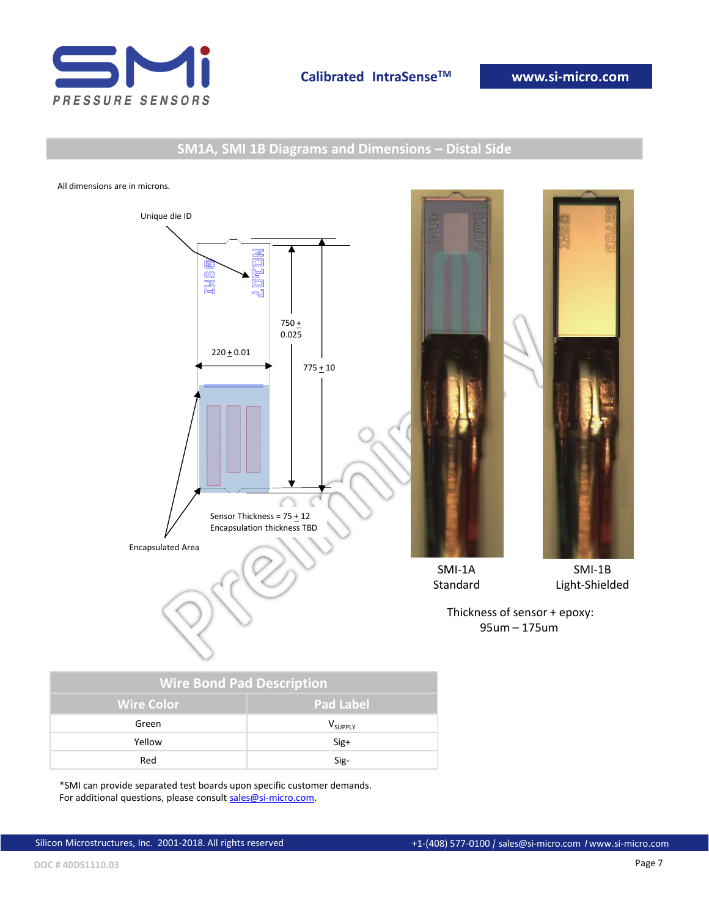

### **SM1A, SMI 1B Diagrams and Dimensions – Distal Side**

All dimensions are in microns.



| <b>Wire Bond Pad Description</b> |                  |  |  |  |
|----------------------------------|------------------|--|--|--|
| <b>Wire Color</b>                | <b>Pad Label</b> |  |  |  |
| Green                            | <b>V</b> SUPPLY  |  |  |  |
| Yellow                           | $Sig+$           |  |  |  |
| Red                              | Sig-             |  |  |  |

\*SMI can provide separated test boards upon specific customer demands. For additional questions, please consult [sales@si-micro.com.](mailto:sales@si-micro.com)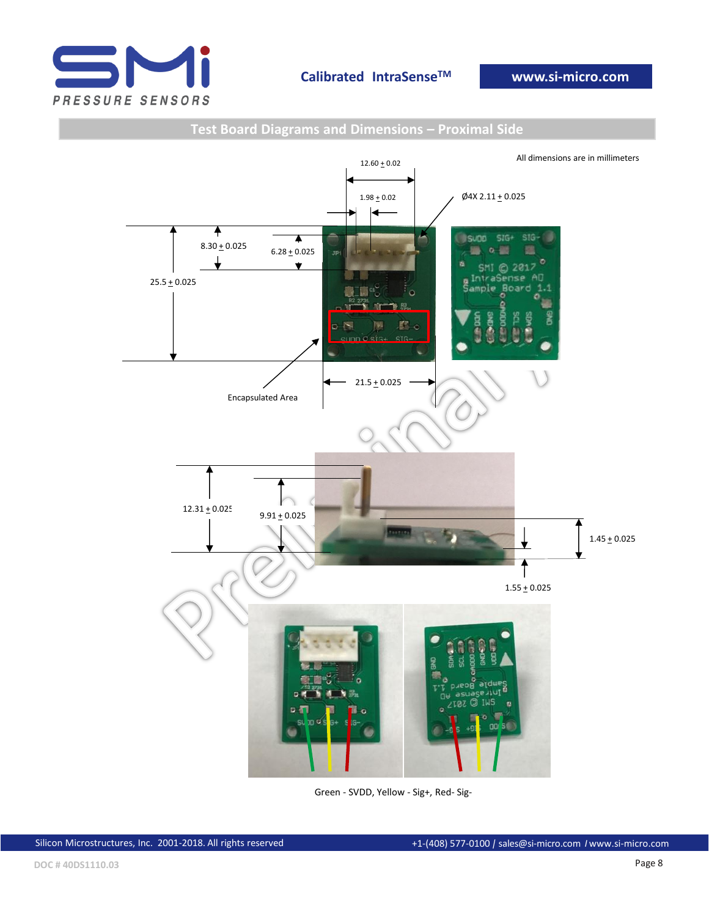

### All dimensions are in millimeters  $12.60 + 0.02$  $\cancel{0}4X 2.11 + 0.025$  $1.98 + 0.02$ ∢ ♠  $\blacktriangle$  $SIG+$ **SIG SUDD**  $8.30 + 0.025$  $6.28 + 0.025$ **Jp**  $\circ$  $\overline{\textbf{v}}$ 2017  $25.5 + 0.025$ Le Ca  $\circ$ **MP** 下照 國  $\mathbf{w}$  $21.5 + 0.025$ Encapsulated Area  $12.31 + 0.025$  $9.91 \pm 0.025$ **BASELOS**  $1.45 \pm 0.025$ ▼  $1.55 + 0.025$ ard POR .<br>Aut N<sub>B</sub>

#### **Test Board Diagrams and Dimensions – Proximal Side**

Green - SVDD, Yellow - Sig+, Red- Sig-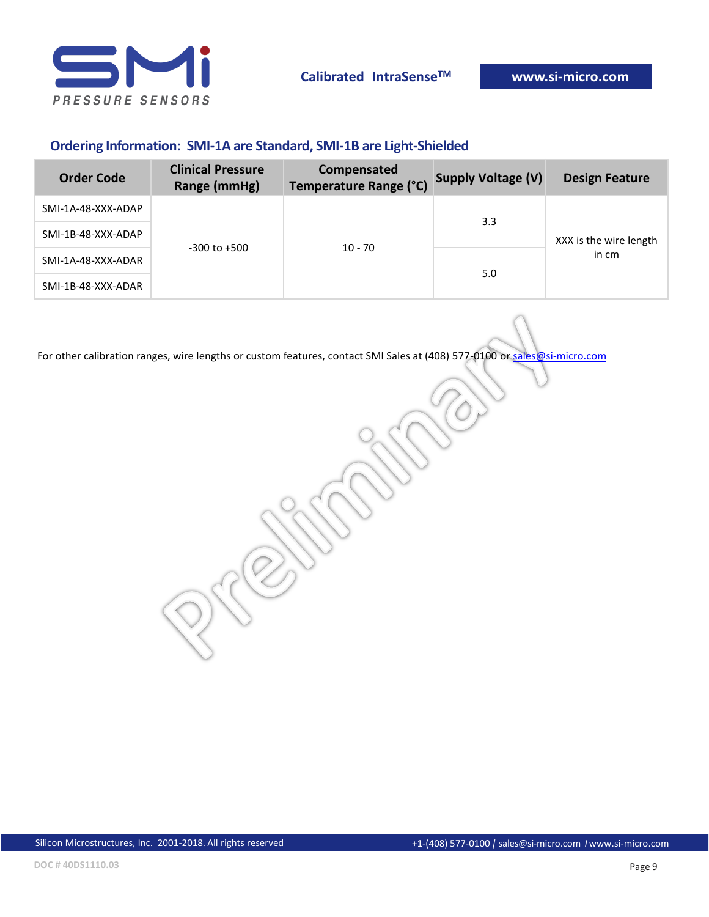

### **Ordering Information: SMI-1A are Standard, SMI-1B are Light-Shielded**

| <b>Order Code</b>  | <b>Clinical Pressure</b><br>Range (mmHg) | Compensated<br>Temperature Range (°C) | <b>Supply Voltage (V)</b> | <b>Design Feature</b>           |
|--------------------|------------------------------------------|---------------------------------------|---------------------------|---------------------------------|
| SMI-1A-48-XXX-ADAP |                                          |                                       | 3.3                       | XXX is the wire length<br>in cm |
| SMI-1B-48-XXX-ADAP | $-300$ to $+500$                         | $10 - 70$                             |                           |                                 |
| SMI-1A-48-XXX-ADAR |                                          |                                       | 5.0                       |                                 |
| SMI-1B-48-XXX-ADAR |                                          |                                       |                           |                                 |

For other calibration ranges, wire lengths or custom features, contact SMI Sales at (408) 577-0100 or [sales@si-micro.com](mailto:sales@si-micro.com)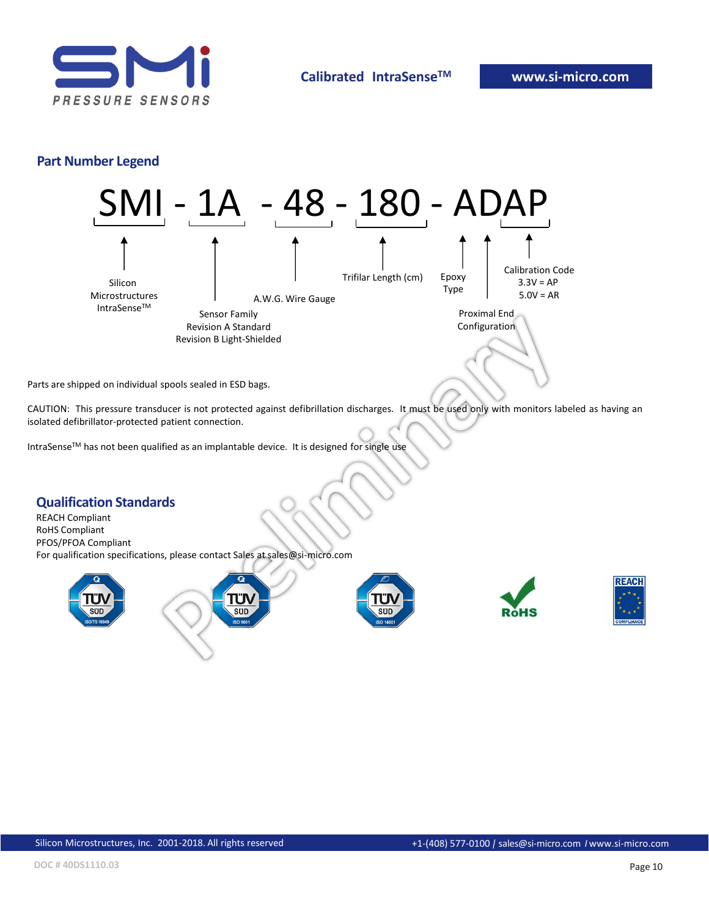

#### **Part Number Legend**



Parts are shipped on individual spools sealed in ESD bags.

CAUTION: This pressure transducer is not protected against defibrillation discharges. It must be used only with monitors labeled as having an isolated defibrillator-protected patient connection.

IntraSenseTM has not been qualified as an implantable device. It is designed for single use

#### **Qualification Standards**

REACH Compliant RoHS Compliant PFOS/PFOA Compliant For qualification specifications, please contact Sales at sales@si-micro.com